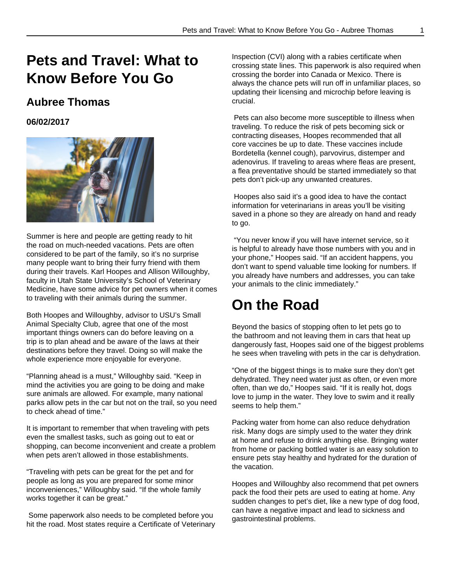# **Pets and Travel: What to Know Before You Go**

#### **Aubree Thomas**

**06/02/2017**



Summer is here and people are getting ready to hit the road on much-needed vacations. Pets are often considered to be part of the family, so it's no surprise many people want to bring their furry friend with them during their travels. Karl Hoopes and Allison Willoughby, faculty in Utah State University's School of Veterinary Medicine, have some advice for pet owners when it comes to traveling with their animals during the summer.

Both Hoopes and Willoughby, advisor to USU's Small Animal Specialty Club, agree that one of the most important things owners can do before leaving on a trip is to plan ahead and be aware of the laws at their destinations before they travel. Doing so will make the whole experience more enjoyable for everyone.

"Planning ahead is a must," Willoughby said. "Keep in mind the activities you are going to be doing and make sure animals are allowed. For example, many national parks allow pets in the car but not on the trail, so you need to check ahead of time."

It is important to remember that when traveling with pets even the smallest tasks, such as going out to eat or shopping, can become inconvenient and create a problem when pets aren't allowed in those establishments.

"Traveling with pets can be great for the pet and for people as long as you are prepared for some minor inconveniences," Willoughby said. "If the whole family works together it can be great."

 Some paperwork also needs to be completed before you hit the road. Most states require a Certificate of Veterinary Inspection (CVI) along with a rabies certificate when crossing state lines. This paperwork is also required when crossing the border into Canada or Mexico. There is always the chance pets will run off in unfamiliar places, so updating their licensing and microchip before leaving is crucial.

 Pets can also become more susceptible to illness when traveling. To reduce the risk of pets becoming sick or contracting diseases, Hoopes recommended that all core vaccines be up to date. These vaccines include Bordetella (kennel cough), parvovirus, distemper and adenovirus. If traveling to areas where fleas are present, a flea preventative should be started immediately so that pets don't pick-up any unwanted creatures.

 Hoopes also said it's a good idea to have the contact information for veterinarians in areas you'll be visiting saved in a phone so they are already on hand and ready to go.

 "You never know if you will have internet service, so it is helpful to already have those numbers with you and in your phone," Hoopes said. "If an accident happens, you don't want to spend valuable time looking for numbers. If you already have numbers and addresses, you can take your animals to the clinic immediately."

### **On the Road**

Beyond the basics of stopping often to let pets go to the bathroom and not leaving them in cars that heat up dangerously fast, Hoopes said one of the biggest problems he sees when traveling with pets in the car is dehydration.

"One of the biggest things is to make sure they don't get dehydrated. They need water just as often, or even more often, than we do," Hoopes said. "If it is really hot, dogs love to jump in the water. They love to swim and it really seems to help them."

Packing water from home can also reduce dehydration risk. Many dogs are simply used to the water they drink at home and refuse to drink anything else. Bringing water from home or packing bottled water is an easy solution to ensure pets stay healthy and hydrated for the duration of the vacation.

Hoopes and Willoughby also recommend that pet owners pack the food their pets are used to eating at home. Any sudden changes to pet's diet, like a new type of dog food, can have a negative impact and lead to sickness and gastrointestinal problems.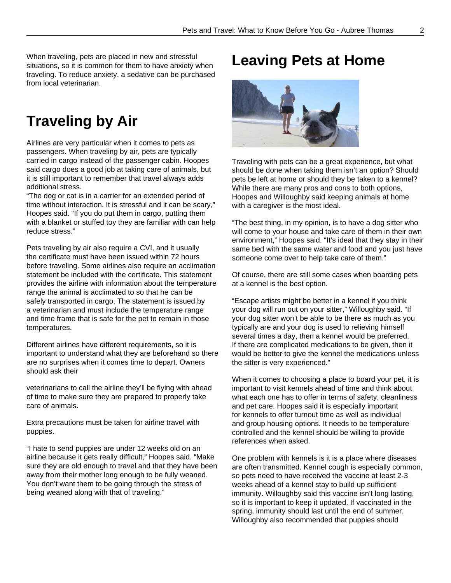When traveling, pets are placed in new and stressful situations, so it is common for them to have anxiety when traveling. To reduce anxiety, a sedative can be purchased from local veterinarian.

# **Traveling by Air**

Airlines are very particular when it comes to pets as passengers. When traveling by air, pets are typically carried in cargo instead of the passenger cabin. Hoopes said cargo does a good job at taking care of animals, but it is still important to remember that travel always adds additional stress.

"The dog or cat is in a carrier for an extended period of time without interaction. It is stressful and it can be scary," Hoopes said. "If you do put them in cargo, putting them with a blanket or stuffed toy they are familiar with can help reduce stress."

Pets traveling by air also require a CVI, and it usually the certificate must have been issued within 72 hours before traveling. Some airlines also require an acclimation statement be included with the certificate. This statement provides the airline with information about the temperature range the animal is acclimated to so that he can be safely transported in cargo. The statement is issued by a veterinarian and must include the temperature range and time frame that is safe for the pet to remain in those temperatures.

Different airlines have different requirements, so it is important to understand what they are beforehand so there are no surprises when it comes time to depart. Owners should ask their

veterinarians to call the airline they'll be flying with ahead of time to make sure they are prepared to properly take care of animals.

Extra precautions must be taken for airline travel with puppies.

"I hate to send puppies are under 12 weeks old on an airline because it gets really difficult," Hoopes said. "Make sure they are old enough to travel and that they have been away from their mother long enough to be fully weaned. You don't want them to be going through the stress of being weaned along with that of traveling."

# **Leaving Pets at Home**



Traveling with pets can be a great experience, but what should be done when taking them isn't an option? Should pets be left at home or should they be taken to a kennel? While there are many pros and cons to both options, Hoopes and Willoughby said keeping animals at home with a caregiver is the most ideal.

"The best thing, in my opinion, is to have a dog sitter who will come to your house and take care of them in their own environment," Hoopes said. "It's ideal that they stay in their same bed with the same water and food and you just have someone come over to help take care of them."

Of course, there are still some cases when boarding pets at a kennel is the best option.

"Escape artists might be better in a kennel if you think your dog will run out on your sitter," Willoughby said. "If your dog sitter won't be able to be there as much as you typically are and your dog is used to relieving himself several times a day, then a kennel would be preferred. If there are complicated medications to be given, then it would be better to give the kennel the medications unless the sitter is very experienced."

When it comes to choosing a place to board your pet, it is important to visit kennels ahead of time and think about what each one has to offer in terms of safety, cleanliness and pet care. Hoopes said it is especially important for kennels to offer turnout time as well as individual and group housing options. It needs to be temperature controlled and the kennel should be willing to provide references when asked.

One problem with kennels is it is a place where diseases are often transmitted. Kennel cough is especially common, so pets need to have received the vaccine at least 2-3 weeks ahead of a kennel stay to build up sufficient immunity. Willoughby said this vaccine isn't long lasting, so it is important to keep it updated. If vaccinated in the spring, immunity should last until the end of summer. Willoughby also recommended that puppies should